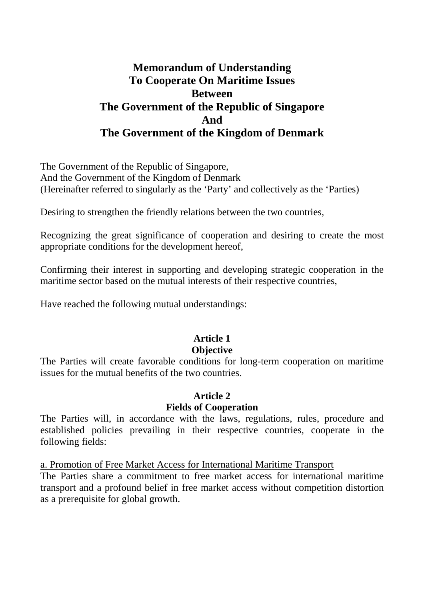# **Memorandum of Understanding To Cooperate On Maritime Issues Between The Government of the Republic of Singapore And The Government of the Kingdom of Denmark**

The Government of the Republic of Singapore, And the Government of the Kingdom of Denmark (Hereinafter referred to singularly as the 'Party' and collectively as the 'Parties)

Desiring to strengthen the friendly relations between the two countries,

Recognizing the great significance of cooperation and desiring to create the most appropriate conditions for the development hereof,

Confirming their interest in supporting and developing strategic cooperation in the maritime sector based on the mutual interests of their respective countries,

Have reached the following mutual understandings:

# **Article 1**

# **Objective**

The Parties will create favorable conditions for long-term cooperation on maritime issues for the mutual benefits of the two countries.

#### **Article 2**

#### **Fields of Cooperation**

The Parties will, in accordance with the laws, regulations, rules, procedure and established policies prevailing in their respective countries, cooperate in the following fields:

a. Promotion of Free Market Access for International Maritime Transport

The Parties share a commitment to free market access for international maritime transport and a profound belief in free market access without competition distortion as a prerequisite for global growth.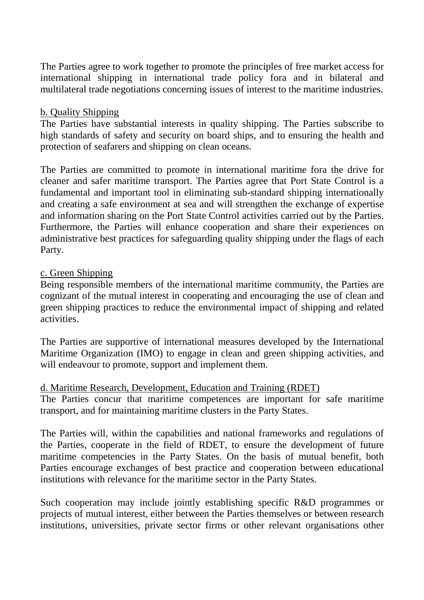The Parties agree to work together to promote the principles of free market access for international shipping in international trade policy fora and in bilateral and multilateral trade negotiations concerning issues of interest to the maritime industries.

#### b. Quality Shipping

The Parties have substantial interests in quality shipping. The Parties subscribe to high standards of safety and security on board ships, and to ensuring the health and protection of seafarers and shipping on clean oceans.

The Parties are committed to promote in international maritime fora the drive for cleaner and safer maritime transport. The Parties agree that Port State Control is a fundamental and important tool in eliminating sub-standard shipping internationally and creating a safe environment at sea and will strengthen the exchange of expertise and information sharing on the Port State Control activities carried out by the Parties. Furthermore, the Parties will enhance cooperation and share their experiences on administrative best practices for safeguarding quality shipping under the flags of each Party.

#### c. Green Shipping

Being responsible members of the international maritime community, the Parties are cognizant of the mutual interest in cooperating and encouraging the use of clean and green shipping practices to reduce the environmental impact of shipping and related activities.

The Parties are supportive of international measures developed by the International Maritime Organization (IMO) to engage in clean and green shipping activities, and will endeavour to promote, support and implement them.

#### d. Maritime Research, Development, Education and Training (RDET)

The Parties concur that maritime competences are important for safe maritime transport, and for maintaining maritime clusters in the Party States.

The Parties will, within the capabilities and national frameworks and regulations of the Parties, cooperate in the field of RDET, to ensure the development of future maritime competencies in the Party States. On the basis of mutual benefit, both Parties encourage exchanges of best practice and cooperation between educational institutions with relevance for the maritime sector in the Party States.

Such cooperation may include jointly establishing specific R&D programmes or projects of mutual interest, either between the Parties themselves or between research institutions, universities, private sector firms or other relevant organisations other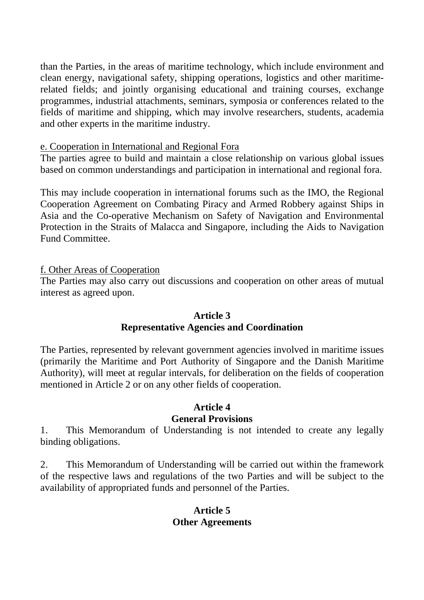than the Parties, in the areas of maritime technology, which include environment and clean energy, navigational safety, shipping operations, logistics and other maritimerelated fields; and jointly organising educational and training courses, exchange programmes, industrial attachments, seminars, symposia or conferences related to the fields of maritime and shipping, which may involve researchers, students, academia and other experts in the maritime industry.

# e. Cooperation in International and Regional Fora

The parties agree to build and maintain a close relationship on various global issues based on common understandings and participation in international and regional fora.

This may include cooperation in international forums such as the IMO, the Regional Cooperation Agreement on Combating Piracy and Armed Robbery against Ships in Asia and the Co-operative Mechanism on Safety of Navigation and Environmental Protection in the Straits of Malacca and Singapore, including the Aids to Navigation Fund Committee.

# f. Other Areas of Cooperation

The Parties may also carry out discussions and cooperation on other areas of mutual interest as agreed upon.

#### **Article 3 Representative Agencies and Coordination**

The Parties, represented by relevant government agencies involved in maritime issues (primarily the Maritime and Port Authority of Singapore and the Danish Maritime Authority), will meet at regular intervals, for deliberation on the fields of cooperation mentioned in Article 2 or on any other fields of cooperation.

# **Article 4 General Provisions**

1. This Memorandum of Understanding is not intended to create any legally binding obligations.

2. This Memorandum of Understanding will be carried out within the framework of the respective laws and regulations of the two Parties and will be subject to the availability of appropriated funds and personnel of the Parties.

# **Article 5 Other Agreements**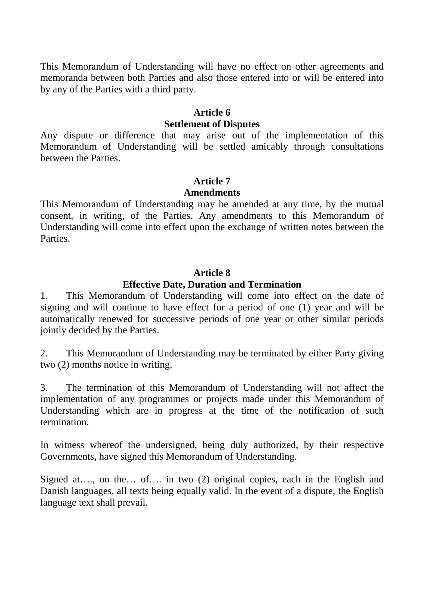This Memorandum of Understanding will have no effect on other agreements and memoranda between both Parties and also those entered into or will be entered into by any of the Parties with a third party.

#### **Article 6 Settlement of Disputes**

Any dispute or difference that may arise out of the implementation of this Memorandum of Understanding will be settled amicably through consultations between the Parties.

#### **Article 7**

#### **Amendments**

This Memorandum of Understanding may be amended at any time, by the mutual consent, in writing, of the Parties. Any amendments to this Memorandum of Understanding will come into effect upon the exchange of written notes between the **Parties** 

# **Article 8**

# **Effective Date, Duration and Termination**

1. This Memorandum of Understanding will come into effect on the date of signing and will continue to have effect for a period of one (1) year and will be automatically renewed for successive periods of one year or other similar periods jointly decided by the Parties.

2. This Memorandum of Understanding may be terminated by either Party giving two (2) months notice in writing.

3. The termination of this Memorandum of Understanding will not affect the implementation of any programmes or projects made under this Memorandum of Understanding which are in progress at the time of the notification of such termination.

In witness whereof the undersigned, being duly authorized, by their respective Governments, have signed this Memorandum of Understanding.

Signed at…., on the… of…. in two (2) original copies, each in the English and Danish languages, all texts being equally valid. In the event of a dispute, the English language text shall prevail.